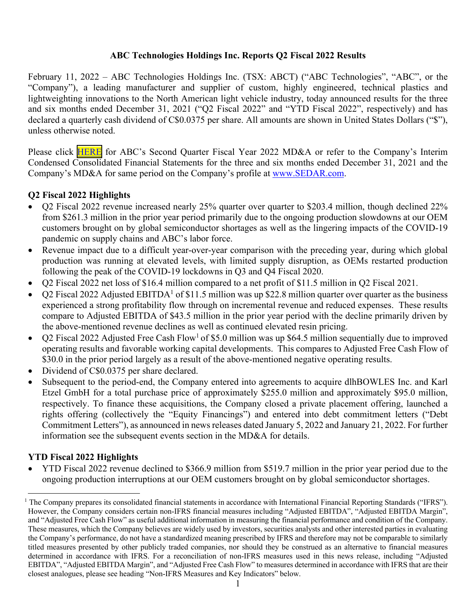## **ABC Technologies Holdings Inc. Reports Q2 Fiscal 2022 Results**

February 11, 2022 – ABC Technologies Holdings Inc. (TSX: ABCT) ("ABC Technologies", "ABC", or the "Company"), a leading manufacturer and supplier of custom, highly engineered, technical plastics and lightweighting innovations to the North American light vehicle industry, today announced results for the three and six months ended December 31, 2021 ("Q2 Fiscal 2022" and "YTD Fiscal 2022", respectively) and has declared a quarterly cash dividend of C\$0.0375 per share. All amounts are shown in United States Dollars ("\$"), unless otherwise noted.

Please click **[HERE](http://abctechnologies.com/wp-content/uploads/ABC-HOLDCO-MDA-December-2021-VF.pdf)** for ABC's Second Quarter Fiscal Year 2022 MD&A or refer to the Company's Interim Condensed Consolidated Financial Statements for the three and six months ended December 31, 2021 and the Company's MD&A for same period on the Company's profile at www.SEDAR.com.

## **Q2 Fiscal 2022 Highlights**

- Q2 Fiscal 2022 revenue increased nearly 25% quarter over quarter to \$203.4 million, though declined 22% from \$261.3 million in the prior year period primarily due to the ongoing production slowdowns at our OEM customers brought on by global semiconductor shortages as well as the lingering impacts of the COVID-19 pandemic on supply chains and ABC's labor force.
- Revenue impact due to a difficult year-over-year comparison with the preceding year, during which global production was running at elevated levels, with limited supply disruption, as OEMs restarted production following the peak of the COVID-19 lockdowns in Q3 and Q4 Fiscal 2020.
- Q2 Fiscal 2022 net loss of \$16.4 million compared to a net profit of \$11.5 million in Q2 Fiscal 2021.
- Q2 Fiscal 2022 Adjusted EBITDA<sup>1</sup> of \$11.5 million was up \$22.8 million quarter over quarter as the business experienced a strong profitability flow through on incremental revenue and reduced expenses. These results compare to Adjusted EBITDA of \$43.5 million in the prior year period with the decline primarily driven by the above-mentioned revenue declines as well as continued elevated resin pricing.
- $Q2$  Fiscal 2022 Adjusted Free Cash Flow<sup>1</sup> of \$5.0 million was up \$64.5 million sequentially due to improved operating results and favorable working capital developments. This compares to Adjusted Free Cash Flow of \$30.0 in the prior period largely as a result of the above-mentioned negative operating results.
- Dividend of C\$0.0375 per share declared.
- Subsequent to the period-end, the Company entered into agreements to acquire dlhBOWLES Inc. and Karl Etzel GmbH for a total purchase price of approximately \$255.0 million and approximately \$95.0 million, respectively. To finance these acquisitions, the Company closed a private placement offering, launched a rights offering (collectively the "Equity Financings") and entered into debt commitment letters ("Debt Commitment Letters"), as announced in news releases dated January 5, 2022 and January 21, 2022. For further information see the subsequent events section in the MD&A for details.

## **YTD Fiscal 2022 Highlights**

• YTD Fiscal 2022 revenue declined to \$366.9 million from \$519.7 million in the prior year period due to the ongoing production interruptions at our OEM customers brought on by global semiconductor shortages.

<sup>&</sup>lt;sup>1</sup> The Company prepares its consolidated financial statements in accordance with International Financial Reporting Standards ("IFRS"). However, the Company considers certain non-IFRS financial measures including "Adjusted EBITDA", "Adjusted EBITDA Margin", and "Adjusted Free Cash Flow" as useful additional information in measuring the financial performance and condition of the Company. These measures, which the Company believes are widely used by investors, securities analysts and other interested parties in evaluating the Company's performance, do not have a standardized meaning prescribed by IFRS and therefore may not be comparable to similarly titled measures presented by other publicly traded companies, nor should they be construed as an alternative to financial measures determined in accordance with IFRS. For a reconciliation of non-IFRS measures used in this news release, including "Adjusted EBITDA", "Adjusted EBITDA Margin", and "Adjusted Free Cash Flow" to measures determined in accordance with IFRS that are their closest analogues, please see heading "Non-IFRS Measures and Key Indicators" below.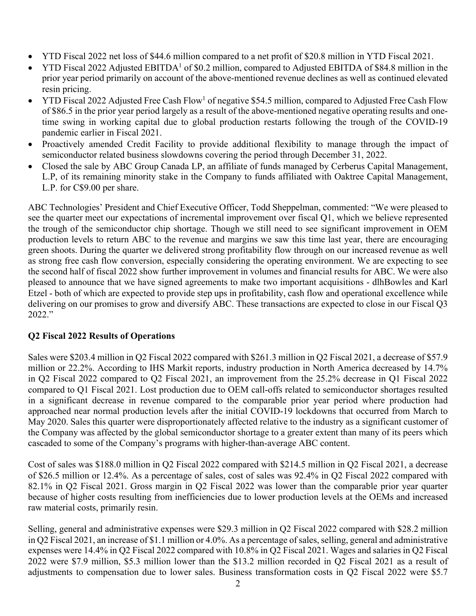- YTD Fiscal 2022 net loss of \$44.6 million compared to a net profit of \$20.8 million in YTD Fiscal 2021.
- YTD Fiscal 2022 Adjusted EBITDA<sup>1</sup> of \$0.2 million, compared to Adjusted EBITDA of \$84.8 million in the prior year period primarily on account of the above-mentioned revenue declines as well as continued elevated resin pricing.
- YTD Fiscal 2022 Adjusted Free Cash Flow<sup>1</sup> of negative \$54.5 million, compared to Adjusted Free Cash Flow of \$86.5 in the prior year period largely as a result of the above-mentioned negative operating results and onetime swing in working capital due to global production restarts following the trough of the COVID-19 pandemic earlier in Fiscal 2021.
- Proactively amended Credit Facility to provide additional flexibility to manage through the impact of semiconductor related business slowdowns covering the period through December 31, 2022.
- Closed the sale by ABC Group Canada LP, an affiliate of funds managed by Cerberus Capital Management, L.P, of its remaining minority stake in the Company to funds affiliated with Oaktree Capital Management, L.P. for C\$9.00 per share.

ABC Technologies' President and Chief Executive Officer, Todd Sheppelman, commented: "We were pleased to see the quarter meet our expectations of incremental improvement over fiscal Q1, which we believe represented the trough of the semiconductor chip shortage. Though we still need to see significant improvement in OEM production levels to return ABC to the revenue and margins we saw this time last year, there are encouraging green shoots. During the quarter we delivered strong profitability flow through on our increased revenue as well as strong free cash flow conversion, especially considering the operating environment. We are expecting to see the second half of fiscal 2022 show further improvement in volumes and financial results for ABC. We were also pleased to announce that we have signed agreements to make two important acquisitions - dlhBowles and Karl Etzel - both of which are expected to provide step ups in profitability, cash flow and operational excellence while delivering on our promises to grow and diversify ABC. These transactions are expected to close in our Fiscal Q3 2022."

## **Q2 Fiscal 2022 Results of Operations**

Sales were \$203.4 million in Q2 Fiscal 2022 compared with \$261.3 million in Q2 Fiscal 2021, a decrease of \$57.9 million or 22.2%. According to IHS Markit reports, industry production in North America decreased by 14.7% in Q2 Fiscal 2022 compared to Q2 Fiscal 2021, an improvement from the 25.2% decrease in Q1 Fiscal 2022 compared to Q1 Fiscal 2021. Lost production due to OEM call-offs related to semiconductor shortages resulted in a significant decrease in revenue compared to the comparable prior year period where production had approached near normal production levels after the initial COVID-19 lockdowns that occurred from March to May 2020. Sales this quarter were disproportionately affected relative to the industry as a significant customer of the Company was affected by the global semiconductor shortage to a greater extent than many of its peers which cascaded to some of the Company's programs with higher-than-average ABC content.

Cost of sales was \$188.0 million in Q2 Fiscal 2022 compared with \$214.5 million in Q2 Fiscal 2021, a decrease of \$26.5 million or 12.4%. As a percentage of sales, cost of sales was 92.4% in Q2 Fiscal 2022 compared with 82.1% in Q2 Fiscal 2021. Gross margin in Q2 Fiscal 2022 was lower than the comparable prior year quarter because of higher costs resulting from inefficiencies due to lower production levels at the OEMs and increased raw material costs, primarily resin.

Selling, general and administrative expenses were \$29.3 million in Q2 Fiscal 2022 compared with \$28.2 million in Q2 Fiscal 2021, an increase of \$1.1 million or 4.0%. As a percentage of sales, selling, general and administrative expenses were 14.4% in Q2 Fiscal 2022 compared with 10.8% in Q2 Fiscal 2021. Wages and salaries in Q2 Fiscal 2022 were \$7.9 million, \$5.3 million lower than the \$13.2 million recorded in Q2 Fiscal 2021 as a result of adjustments to compensation due to lower sales. Business transformation costs in Q2 Fiscal 2022 were \$5.7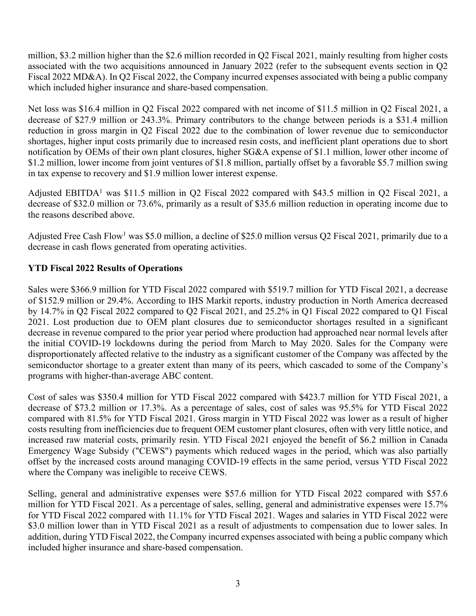million, \$3.2 million higher than the \$2.6 million recorded in Q2 Fiscal 2021, mainly resulting from higher costs associated with the two acquisitions announced in January 2022 (refer to the subsequent events section in Q2 Fiscal 2022 MD&A). In Q2 Fiscal 2022, the Company incurred expenses associated with being a public company which included higher insurance and share-based compensation.

Net loss was \$16.4 million in Q2 Fiscal 2022 compared with net income of \$11.5 million in Q2 Fiscal 2021, a decrease of \$27.9 million or 243.3%. Primary contributors to the change between periods is a \$31.4 million reduction in gross margin in Q2 Fiscal 2022 due to the combination of lower revenue due to semiconductor shortages, higher input costs primarily due to increased resin costs, and inefficient plant operations due to short notification by OEMs of their own plant closures, higher SG&A expense of \$1.1 million, lower other income of \$1.2 million, lower income from joint ventures of \$1.8 million, partially offset by a favorable \$5.7 million swing in tax expense to recovery and \$1.9 million lower interest expense.

Adjusted EBITDA<sup>1</sup> was \$11.5 million in Q2 Fiscal 2022 compared with \$43.5 million in Q2 Fiscal 2021, a decrease of \$32.0 million or 73.6%, primarily as a result of \$35.6 million reduction in operating income due to the reasons described above.

Adjusted Free Cash Flow<sup>1</sup> was \$5.0 million, a decline of \$25.0 million versus Q2 Fiscal 2021, primarily due to a decrease in cash flows generated from operating activities.

# **YTD Fiscal 2022 Results of Operations**

Sales were \$366.9 million for YTD Fiscal 2022 compared with \$519.7 million for YTD Fiscal 2021, a decrease of \$152.9 million or 29.4%. According to IHS Markit reports, industry production in North America decreased by 14.7% in Q2 Fiscal 2022 compared to Q2 Fiscal 2021, and 25.2% in Q1 Fiscal 2022 compared to Q1 Fiscal 2021. Lost production due to OEM plant closures due to semiconductor shortages resulted in a significant decrease in revenue compared to the prior year period where production had approached near normal levels after the initial COVID-19 lockdowns during the period from March to May 2020. Sales for the Company were disproportionately affected relative to the industry as a significant customer of the Company was affected by the semiconductor shortage to a greater extent than many of its peers, which cascaded to some of the Company's programs with higher-than-average ABC content.

Cost of sales was \$350.4 million for YTD Fiscal 2022 compared with \$423.7 million for YTD Fiscal 2021, a decrease of \$73.2 million or 17.3%. As a percentage of sales, cost of sales was 95.5% for YTD Fiscal 2022 compared with 81.5% for YTD Fiscal 2021. Gross margin in YTD Fiscal 2022 was lower as a result of higher costs resulting from inefficiencies due to frequent OEM customer plant closures, often with very little notice, and increased raw material costs, primarily resin. YTD Fiscal 2021 enjoyed the benefit of \$6.2 million in Canada Emergency Wage Subsidy ("CEWS") payments which reduced wages in the period, which was also partially offset by the increased costs around managing COVID-19 effects in the same period, versus YTD Fiscal 2022 where the Company was ineligible to receive CEWS.

Selling, general and administrative expenses were \$57.6 million for YTD Fiscal 2022 compared with \$57.6 million for YTD Fiscal 2021. As a percentage of sales, selling, general and administrative expenses were 15.7% for YTD Fiscal 2022 compared with 11.1% for YTD Fiscal 2021. Wages and salaries in YTD Fiscal 2022 were \$3.0 million lower than in YTD Fiscal 2021 as a result of adjustments to compensation due to lower sales. In addition, during YTD Fiscal 2022, the Company incurred expenses associated with being a public company which included higher insurance and share-based compensation.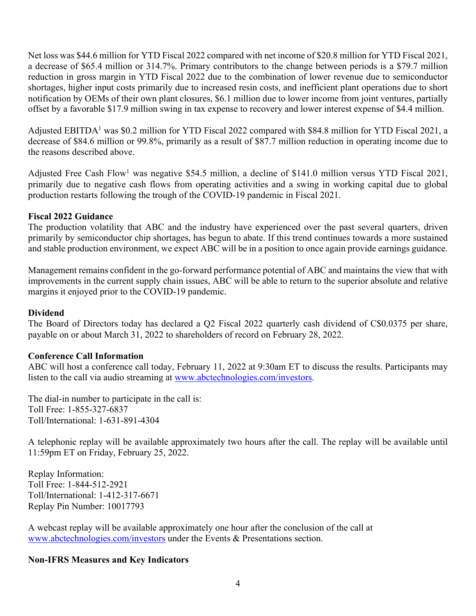Net loss was \$44.6 million for YTD Fiscal 2022 compared with net income of \$20.8 million for YTD Fiscal 2021, a decrease of \$65.4 million or 314.7%. Primary contributors to the change between periods is a \$79.7 million reduction in gross margin in YTD Fiscal 2022 due to the combination of lower revenue due to semiconductor shortages, higher input costs primarily due to increased resin costs, and inefficient plant operations due to short notification by OEMs of their own plant closures, \$6.1 million due to lower income from joint ventures, partially offset by a favorable \$17.9 million swing in tax expense to recovery and lower interest expense of \$4.4 million.

Adjusted EBITDA1 was \$0.2 million for YTD Fiscal 2022 compared with \$84.8 million for YTD Fiscal 2021, a decrease of \$84.6 million or 99.8%, primarily as a result of \$87.7 million reduction in operating income due to the reasons described above.

Adjusted Free Cash Flow<sup>1</sup> was negative \$54.5 million, a decline of \$141.0 million versus YTD Fiscal 2021, primarily due to negative cash flows from operating activities and a swing in working capital due to global production restarts following the trough of the COVID-19 pandemic in Fiscal 2021.

#### **Fiscal 2022 Guidance**

The production volatility that ABC and the industry have experienced over the past several quarters, driven primarily by semiconductor chip shortages, has begun to abate. If this trend continues towards a more sustained and stable production environment, we expect ABC will be in a position to once again provide earnings guidance.

Management remains confident in the go-forward performance potential of ABC and maintains the view that with improvements in the current supply chain issues, ABC will be able to return to the superior absolute and relative margins it enjoyed prior to the COVID-19 pandemic.

## **Dividend**

The Board of Directors today has declared a Q2 Fiscal 2022 quarterly cash dividend of C\$0.0375 per share, payable on or about March 31, 2022 to shareholders of record on February 28, 2022.

#### **Conference Call Information**

ABC will host a conference call today, February 11, 2022 at 9:30am ET to discuss the results. Participants may listen to the call via audio streaming at www.abctechnologies.com/investors.

The dial-in number to participate in the call is: Toll Free: 1-855-327-6837 Toll/International: 1-631-891-4304

A telephonic replay will be available approximately two hours after the call. The replay will be available until 11:59pm ET on Friday, February 25, 2022.

Replay Information: Toll Free: 1-844-512-2921 Toll/International: 1-412-317-6671 Replay Pin Number: 10017793

A webcast replay will be available approximately one hour after the conclusion of the call at www.abctechnologies.com/investors under the Events & Presentations section.

#### **Non-IFRS Measures and Key Indicators**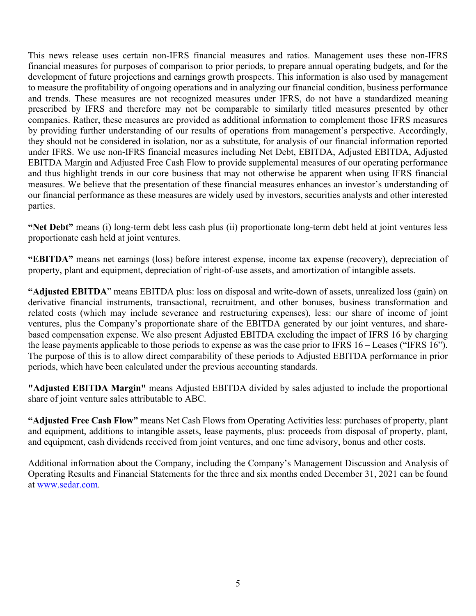This news release uses certain non-IFRS financial measures and ratios. Management uses these non-IFRS financial measures for purposes of comparison to prior periods, to prepare annual operating budgets, and for the development of future projections and earnings growth prospects. This information is also used by management to measure the profitability of ongoing operations and in analyzing our financial condition, business performance and trends. These measures are not recognized measures under IFRS, do not have a standardized meaning prescribed by IFRS and therefore may not be comparable to similarly titled measures presented by other companies. Rather, these measures are provided as additional information to complement those IFRS measures by providing further understanding of our results of operations from management's perspective. Accordingly, they should not be considered in isolation, nor as a substitute, for analysis of our financial information reported under IFRS. We use non-IFRS financial measures including Net Debt, EBITDA, Adjusted EBITDA, Adjusted EBITDA Margin and Adjusted Free Cash Flow to provide supplemental measures of our operating performance and thus highlight trends in our core business that may not otherwise be apparent when using IFRS financial measures. We believe that the presentation of these financial measures enhances an investor's understanding of our financial performance as these measures are widely used by investors, securities analysts and other interested parties.

**"Net Debt"** means (i) long-term debt less cash plus (ii) proportionate long-term debt held at joint ventures less proportionate cash held at joint ventures.

**"EBITDA"** means net earnings (loss) before interest expense, income tax expense (recovery), depreciation of property, plant and equipment, depreciation of right-of-use assets, and amortization of intangible assets.

**"Adjusted EBITDA**" means EBITDA plus: loss on disposal and write-down of assets, unrealized loss (gain) on derivative financial instruments, transactional, recruitment, and other bonuses, business transformation and related costs (which may include severance and restructuring expenses), less: our share of income of joint ventures, plus the Company's proportionate share of the EBITDA generated by our joint ventures, and sharebased compensation expense. We also present Adjusted EBITDA excluding the impact of IFRS 16 by charging the lease payments applicable to those periods to expense as was the case prior to IFRS 16 – Leases ("IFRS 16"). The purpose of this is to allow direct comparability of these periods to Adjusted EBITDA performance in prior periods, which have been calculated under the previous accounting standards.

**"Adjusted EBITDA Margin"** means Adjusted EBITDA divided by sales adjusted to include the proportional share of joint venture sales attributable to ABC.

**"Adjusted Free Cash Flow"** means Net Cash Flows from Operating Activities less: purchases of property, plant and equipment, additions to intangible assets, lease payments, plus: proceeds from disposal of property, plant, and equipment, cash dividends received from joint ventures, and one time advisory, bonus and other costs.

Additional information about the Company, including the Company's Management Discussion and Analysis of Operating Results and Financial Statements for the three and six months ended December 31, 2021 can be found at www.sedar.com.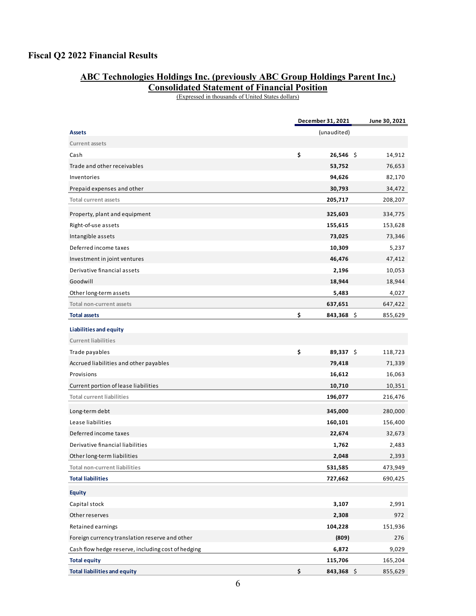## **Fiscal Q2 2022 Financial Results**

## **ABC Technologies Holdings Inc. (previously ABC Group Holdings Parent Inc.)**

**Consolidated Statement of Financial Position** 

(Expressed in thousands of United States dollars)

|                                                    | December 31, 2021 |              |  | June 30, 2021 |  |  |
|----------------------------------------------------|-------------------|--------------|--|---------------|--|--|
| <b>Assets</b>                                      |                   | (unaudited)  |  |               |  |  |
| <b>Current assets</b>                              |                   |              |  |               |  |  |
| Cash                                               | \$                | $26,546$ \$  |  | 14,912        |  |  |
| Trade and other receivables                        |                   | 53,752       |  | 76,653        |  |  |
| Inventories                                        |                   | 94,626       |  | 82,170        |  |  |
| Prepaid expenses and other                         |                   | 30,793       |  | 34,472        |  |  |
| <b>Total current assets</b>                        |                   | 205,717      |  | 208,207       |  |  |
| Property, plant and equipment                      |                   | 325,603      |  | 334,775       |  |  |
| Right-of-use assets                                |                   | 155,615      |  | 153,628       |  |  |
| Intangible assets                                  |                   | 73,025       |  | 73,346        |  |  |
| Deferred income taxes                              |                   | 10,309       |  | 5,237         |  |  |
| Investment in joint ventures                       |                   | 46,476       |  | 47,412        |  |  |
| Derivative financial assets                        |                   | 2,196        |  | 10,053        |  |  |
| Goodwill                                           |                   | 18,944       |  | 18,944        |  |  |
| Other long-term assets                             |                   | 5,483        |  | 4,027         |  |  |
| Total non-current assets                           |                   | 637,651      |  | 647,422       |  |  |
| <b>Total assets</b>                                | \$                | $843,368$ \$ |  | 855,629       |  |  |
| Liabilities and equity                             |                   |              |  |               |  |  |
| <b>Current liabilities</b>                         |                   |              |  |               |  |  |
| Trade payables                                     | \$                | 89,337 \$    |  | 118,723       |  |  |
| Accrued liabilities and other payables             |                   | 79,418       |  | 71,339        |  |  |
| Provisions                                         |                   | 16,612       |  | 16,063        |  |  |
| Current portion of lease liabilities               |                   | 10,710       |  | 10,351        |  |  |
| <b>Total current liabilities</b>                   |                   | 196,077      |  | 216,476       |  |  |
| Long-term debt                                     |                   | 345,000      |  | 280,000       |  |  |
| Lease liabilities                                  |                   | 160,101      |  | 156,400       |  |  |
| Deferred income taxes                              |                   | 22,674       |  | 32,673        |  |  |
| Derivative financial liabilities                   |                   | 1,762        |  | 2,483         |  |  |
| Other long-term liabilities                        |                   | 2,048        |  | 2,393         |  |  |
| Total non-current liabilities                      |                   | 531,585      |  | 473,949       |  |  |
| <b>Total liabilities</b>                           |                   | 727,662      |  | 690,425       |  |  |
| <b>Equity</b>                                      |                   |              |  |               |  |  |
| Capital stock                                      |                   | 3,107        |  | 2,991         |  |  |
| Other reserves                                     |                   | 2,308        |  | 972           |  |  |
| Retained earnings                                  |                   | 104,228      |  | 151,936       |  |  |
| Foreign currency translation reserve and other     |                   | (809)        |  | 276           |  |  |
| Cash flow hedge reserve, including cost of hedging |                   | 6,872        |  | 9,029         |  |  |
| <b>Total equity</b>                                |                   | 115,706      |  | 165,204       |  |  |
| <b>Total liabilities and equity</b>                | \$                | 843,368 \$   |  | 855,629       |  |  |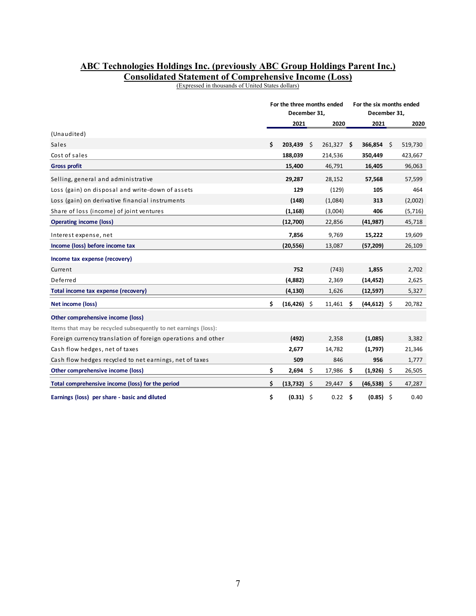#### **ABC Technologies Holdings Inc. (previously ABC Group Holdings Parent Inc.) Consolidated Statement of Comprehensive Income (Loss)**

(Expressed in thousands of United States dollars)

|                                                                 | For the three months ended<br>December 31, |      |            |      | December 31,   | For the six months ended |          |  |
|-----------------------------------------------------------------|--------------------------------------------|------|------------|------|----------------|--------------------------|----------|--|
|                                                                 | 2021                                       |      | 2020       | 2021 |                |                          | 2020     |  |
| (Unaudited)                                                     |                                            |      |            |      |                |                          |          |  |
| Sales                                                           | \$<br>203,439                              | - \$ | 261,327 \$ |      | 366,854        | \$                       | 519,730  |  |
| Cost of sales                                                   | 188,039                                    |      | 214,536    |      | 350,449        |                          | 423,667  |  |
| <b>Gross profit</b>                                             | 15,400                                     |      | 46,791     |      | 16,405         |                          | 96,063   |  |
| Selling, general and administrative                             | 29,287                                     |      | 28,152     |      | 57,568         |                          | 57,599   |  |
| Loss (gain) on disposal and write-down of assets                | 129                                        |      | (129)      |      | 105            |                          | 464      |  |
| Loss (gain) on derivative financial instruments                 | (148)                                      |      | (1,084)    |      | 313            |                          | (2,002)  |  |
| Share of loss (income) of joint ventures                        | (1, 168)                                   |      | (3,004)    |      | 406            |                          | (5, 716) |  |
| <b>Operating income (loss)</b>                                  | (12,700)                                   |      | 22,856     |      | (41, 987)      |                          | 45,718   |  |
| Interest expense, net                                           | 7,856                                      |      | 9,769      |      | 15,222         |                          | 19,609   |  |
| Income (loss) before income tax                                 | (20, 556)                                  |      | 13,087     |      | (57, 209)      |                          | 26,109   |  |
| Income tax expense (recovery)                                   |                                            |      |            |      |                |                          |          |  |
| Current                                                         | 752                                        |      | (743)      |      | 1,855          |                          | 2,702    |  |
| Deferred                                                        | (4,882)                                    |      | 2,369      |      | (14, 452)      |                          | 2,625    |  |
| Total income tax expense (recovery)                             | (4, 130)                                   |      | 1,626      |      | (12, 597)      |                          | 5,327    |  |
| Net income (loss)                                               | \$<br>$(16, 426)$ \$                       |      | 11,461     | - \$ | $(44, 612)$ \$ |                          | 20,782   |  |
| Other comprehensive income (loss)                               |                                            |      |            |      |                |                          |          |  |
| Items that may be recycled subsequently to net earnings (loss): |                                            |      |            |      |                |                          |          |  |
| Foreign currency translation of foreign operations and other    | (492)                                      |      | 2,358      |      | (1,085)        |                          | 3,382    |  |
| Cash flow hedges, net of taxes                                  | 2,677                                      |      | 14,782     |      | (1,797)        |                          | 21,346   |  |
| Cash flow hedges recycled to net earnings, net of taxes         | 509                                        |      | 846        |      | 956            |                          | 1,777    |  |
| Other comprehensive income (loss)                               | \$<br>2,694                                | \$   | 17,986     | -\$  | (1,926)        | \$                       | 26,505   |  |
| Total comprehensive income (loss) for the period                | \$<br>(13, 732)                            | - \$ | 29,447     | -\$  | (46, 538)      | Ŝ.                       | 47,287   |  |
| Earnings (loss) per share - basic and diluted                   | \$<br>(0.31)                               | - \$ | 0.22       | -\$  | (0.85)         | \$                       | 0.40     |  |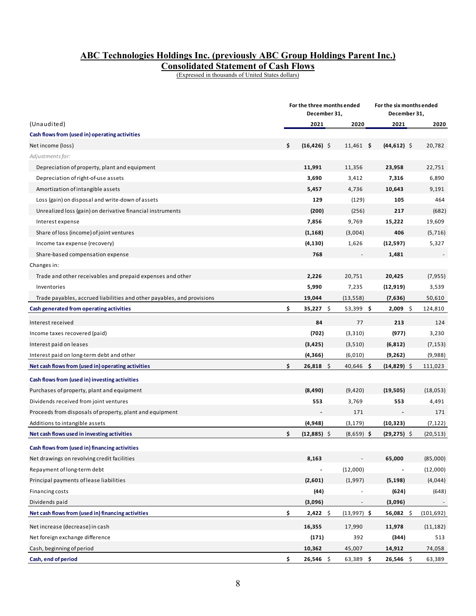# **ABC Technologies Holdings Inc. (previously ABC Group Holdings Parent Inc.)**

**Consolidated Statement of Cash Flows** 

(Expressed in thousands of United States dollars)

|                                                                        | For the three months ended<br>December 31, |                |               | For the six months ended<br>December 31, |            |
|------------------------------------------------------------------------|--------------------------------------------|----------------|---------------|------------------------------------------|------------|
| (Unaudited)                                                            | 2021                                       |                | 2020          | 2021                                     | 2020       |
| Cash flows from (used in) operating activities                         |                                            |                |               |                                          |            |
| Net income (loss)                                                      | \$                                         | $(16, 426)$ \$ | $11,461$ \$   | $(44, 612)$ \$                           | 20,782     |
| Adjustments for:                                                       |                                            |                |               |                                          |            |
| Depreciation of property, plant and equipment                          |                                            | 11,991         | 11,356        | 23,958                                   | 22,751     |
| Depreciation of right-of-use assets                                    |                                            | 3,690          | 3,412         | 7,316                                    | 6,890      |
| Amortization of intangible assets                                      |                                            | 5,457          | 4,736         | 10,643                                   | 9,191      |
| Loss (gain) on disposal and write-down of assets                       |                                            | 129            | (129)         | 105                                      | 464        |
| Unrealized loss (gain) on derivative financial instruments             |                                            | (200)          | (256)         | 217                                      | (682)      |
| Interest expense                                                       |                                            | 7,856          | 9,769         | 15,222                                   | 19,609     |
| Share of loss (income) of joint ventures                               |                                            | (1, 168)       | (3,004)       | 406                                      | (5, 716)   |
| Income tax expense (recovery)                                          |                                            | (4, 130)       | 1,626         | (12, 597)                                | 5,327      |
| Share-based compensation expense                                       |                                            | 768            |               | 1,481                                    |            |
| Changes in:                                                            |                                            |                |               |                                          |            |
| Trade and other receivables and prepaid expenses and other             |                                            | 2,226          | 20,751        | 20,425                                   | (7, 955)   |
| Inventories                                                            |                                            | 5,990          | 7,235         | (12, 919)                                | 3,539      |
| Trade payables, accrued liabilities and other payables, and provisions |                                            | 19,044         | (13, 558)     | (7,636)                                  | 50,610     |
| Cash generated from operating activities                               | \$                                         | $35,227$ \$    | $53,399$ \$   | \$<br>2,009                              | 124,810    |
| Interest received                                                      |                                            | 84             | 77            | 213                                      | 124        |
| Income taxes recovered (paid)                                          |                                            | (702)          | (3, 310)      | (977)                                    | 3,230      |
| Interest paid on leases                                                |                                            | (3, 425)       | (3, 510)      | (6, 812)                                 | (7, 153)   |
| Interest paid on long-term debt and other                              |                                            | (4,366)        | (6,010)       | (9, 262)                                 | (9,988)    |
| Net cash flows from (used in) operating activities                     | \$                                         | $26,818$ \$    | $40,646$ \$   | $(14, 829)$ \$                           | 111,023    |
| Cash flows from (used in) investing activities                         |                                            |                |               |                                          |            |
| Purchases of property, plant and equipment                             |                                            | (8, 490)       | (9,420)       | (19, 505)                                | (18,053)   |
| Dividends received from joint ventures                                 |                                            | 553            | 3,769         | 553                                      | 4,491      |
| Proceeds from disposals of property, plant and equipment               |                                            |                | 171           |                                          | 171        |
| Additions to intangible assets                                         |                                            | (4,948)        | (3, 179)      | (10, 323)                                | (7, 122)   |
| Net cash flows used in investing activities                            | \$                                         | $(12,885)$ \$  | $(8,659)$ \$  | $(29, 275)$ \$                           | (20, 513)  |
| Cash flows from (used in) financing activities                         |                                            |                |               |                                          |            |
| Net drawings on revolving credit facilities                            |                                            | 8,163          |               | 65,000                                   | (85,000)   |
| Repayment of long-term debt                                            |                                            |                | (12,000)      |                                          | (12,000)   |
| Principal payments of lease liabilities                                |                                            | (2,601)        | (1,997)       | (5, 198)                                 | (4,044)    |
| Financing costs                                                        |                                            | (44)           |               | (624)                                    | (648)      |
| Dividends paid                                                         |                                            | (3,096)        |               | (3,096)                                  |            |
| Net cash flows from (used in) financing activities                     | \$                                         | $2,422$ \$     | $(13,997)$ \$ | $56,082$ \$                              | (101, 692) |
| Net increase (decrease) in cash                                        |                                            | 16,355         | 17,990        | 11,978                                   | (11, 182)  |
| Net foreign exchange difference                                        |                                            | (171)          | 392           | (344)                                    | 513        |
| Cash, beginning of period                                              |                                            | 10,362         | 45,007        | 14,912                                   | 74,058     |
| Cash, end of period                                                    | \$                                         | 26,546 \$      | $63,389$ \$   | 26,546 \$                                | 63,389     |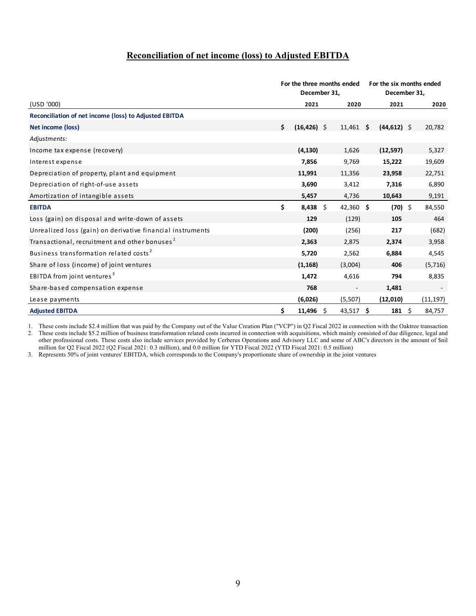#### **Reconciliation of net income (loss) to Adjusted EBITDA**

|                                                            | For the three months ended<br>December 31, |                |  |           | For the six months ended<br>December 31, |                   |  |           |
|------------------------------------------------------------|--------------------------------------------|----------------|--|-----------|------------------------------------------|-------------------|--|-----------|
| (USD '000)                                                 |                                            | 2021           |  | 2020      |                                          | 2021              |  | 2020      |
| Reconciliation of net income (loss) to Adjusted EBITDA     |                                            |                |  |           |                                          |                   |  |           |
| Net income (loss)                                          | \$                                         | $(16, 426)$ \$ |  | 11,461    | -\$                                      | $(44, 612)$ \$    |  | 20,782    |
| Adjustments:                                               |                                            |                |  |           |                                          |                   |  |           |
| Income tax expense (recovery)                              |                                            | (4, 130)       |  | 1,626     |                                          | (12, 597)         |  | 5,327     |
| Interest expense                                           |                                            | 7,856          |  | 9,769     |                                          | 15,222            |  | 19,609    |
| Depreciation of property, plant and equipment              |                                            | 11,991         |  | 11,356    |                                          | 23,958            |  | 22,751    |
| Depreciation of right-of-use assets                        |                                            | 3,690          |  | 3,412     |                                          | 7,316             |  | 6,890     |
| Amortization of intangible assets                          |                                            | 5,457          |  | 4,736     |                                          | 10,643            |  | 9,191     |
| <b>EBITDA</b>                                              | \$                                         | $8,438$ \$     |  | 42,360 \$ |                                          | $(70)$ \$         |  | 84,550    |
| Loss (gain) on disposal and write-down of assets           |                                            | 129            |  | (129)     |                                          | 105               |  | 464       |
| Unrealized loss (gain) on derivative financial instruments |                                            | (200)          |  | (256)     |                                          | 217               |  | (682)     |
| Transactional, recruitment and other bonuses <sup>1</sup>  |                                            | 2,363          |  | 2,875     |                                          | 2,374             |  | 3,958     |
| Business transformation related costs <sup>2</sup>         |                                            | 5,720          |  | 2,562     |                                          | 6,884             |  | 4,545     |
| Share of loss (income) of joint ventures                   |                                            | (1, 168)       |  | (3,004)   |                                          | 406               |  | (5, 716)  |
| EBITDA from joint ventures <sup>3</sup>                    |                                            | 1,472          |  | 4,616     |                                          | 794               |  | 8,835     |
| Share-based compensation expense                           |                                            | 768            |  |           |                                          | 1,481             |  |           |
| Lease payments                                             |                                            | (6,026)        |  | (5, 507)  |                                          | (12,010)          |  | (11, 197) |
| <b>Adjusted EBITDA</b>                                     | \$                                         | $11,496$ \$    |  | 43,517 \$ |                                          | $181 \quad \zeta$ |  | 84,757    |

1. These costs include \$2.4 million that was paid by the Company out of the Value Creation Plan ("VCP") in Q2 Fiscal 2022 in connection with the Oaktree transaction 2. These costs include \$5.2 million of business transformation related costs incurred in connection with acquisitions, which mainly consisted of due diligence, legal and other professional costs. These costs also include services provided by Cerberus Operations and Advisory LLC and some of ABC's directors in the amount of \$nil

million for Q2 Fiscal 2022 (Q2 Fiscal 2021: 0.3 million), and 0.0 million for YTD Fiscal 2022 (YTD Fiscal 2021: 0.5 million)

3. Represents 50% of joint ventures' EBITDA, which corresponds to the Company's proportionate share of ownership in the joint ventures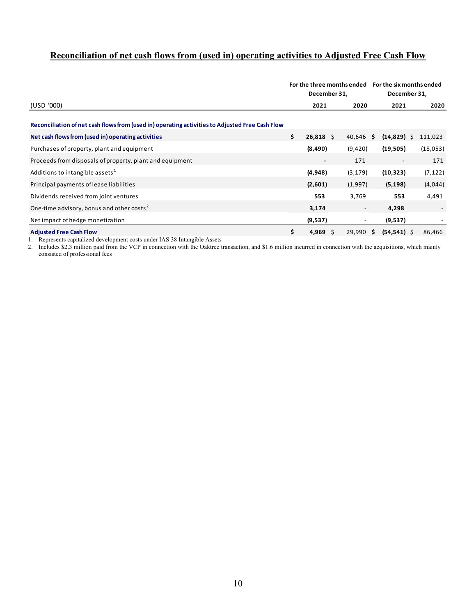## **Reconciliation of net cash flows from (used in) operating activities to Adjusted Free Cash Flow**

|                                                                                                 | For the three months ended<br>December 31, |                |                          | For the six months ended<br>December 31, |          |  |  |
|-------------------------------------------------------------------------------------------------|--------------------------------------------|----------------|--------------------------|------------------------------------------|----------|--|--|
| (USD '000)                                                                                      |                                            | 2021           | 2020                     | 2021                                     | 2020     |  |  |
| Reconciliation of net cash flows from (used in) operating activities to Adjusted Free Cash Flow |                                            |                |                          |                                          |          |  |  |
| Net cash flows from (used in) operating activities                                              | \$                                         | $26,818$ \$    | $40,646$ \$              | $(14, 829)$ \$                           | 111,023  |  |  |
| Purchases of property, plant and equipment                                                      |                                            | (8, 490)       | (9, 420)                 | (19,505)                                 | (18,053) |  |  |
| Proceeds from disposals of property, plant and equipment                                        |                                            | $\blacksquare$ | 171                      | $\blacksquare$                           | 171      |  |  |
| Additions to intangible assets <sup>1</sup>                                                     |                                            | (4,948)        | (3, 179)                 | (10, 323)                                | (7, 122) |  |  |
| Principal payments of lease liabilities                                                         |                                            | (2,601)        | (1,997)                  | (5, 198)                                 | (4,044)  |  |  |
| Dividends received from joint ventures                                                          |                                            | 553            | 3,769                    | 553                                      | 4,491    |  |  |
| One-time advisory, bonus and other costs <sup>2</sup>                                           |                                            | 3,174          | $\overline{\phantom{a}}$ | 4,298                                    |          |  |  |
| Net impact of hedge monetization                                                                |                                            | (9,537)        | $\overline{\phantom{a}}$ | (9,537)                                  |          |  |  |
| <b>Adjusted Free Cash Flow</b>                                                                  | \$                                         | 4,969<br>S     | $29,990$ \$              | $(54, 541)$ \$                           | 86,466   |  |  |

1. Represents capitalized development costs under IAS 38 Intangible Assets

2. Includes \$2.3 million paid from the VCP in connection with the Oaktree transaction, and \$1.6 million incurred in connection with the acquisitions, which mainly consisted of professional fees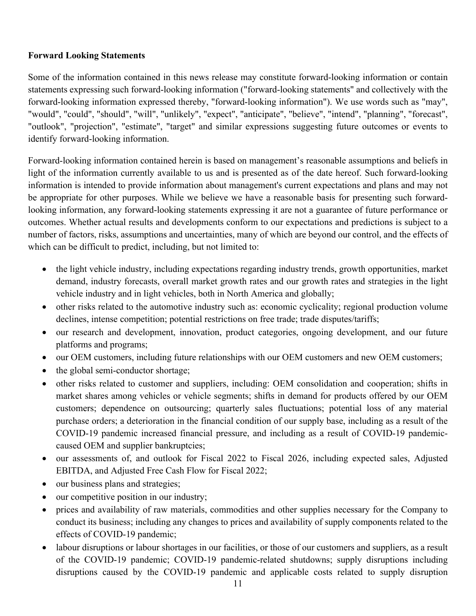#### **Forward Looking Statements**

Some of the information contained in this news release may constitute forward-looking information or contain statements expressing such forward-looking information ("forward-looking statements" and collectively with the forward-looking information expressed thereby, "forward-looking information"). We use words such as "may", "would", "could", "should", "will", "unlikely", "expect", "anticipate", "believe", "intend", "planning", "forecast", "outlook", "projection", "estimate", "target" and similar expressions suggesting future outcomes or events to identify forward-looking information.

Forward-looking information contained herein is based on management's reasonable assumptions and beliefs in light of the information currently available to us and is presented as of the date hereof. Such forward-looking information is intended to provide information about management's current expectations and plans and may not be appropriate for other purposes. While we believe we have a reasonable basis for presenting such forwardlooking information, any forward-looking statements expressing it are not a guarantee of future performance or outcomes. Whether actual results and developments conform to our expectations and predictions is subject to a number of factors, risks, assumptions and uncertainties, many of which are beyond our control, and the effects of which can be difficult to predict, including, but not limited to:

- the light vehicle industry, including expectations regarding industry trends, growth opportunities, market demand, industry forecasts, overall market growth rates and our growth rates and strategies in the light vehicle industry and in light vehicles, both in North America and globally;
- other risks related to the automotive industry such as: economic cyclicality; regional production volume declines, intense competition; potential restrictions on free trade; trade disputes/tariffs;
- our research and development, innovation, product categories, ongoing development, and our future platforms and programs;
- our OEM customers, including future relationships with our OEM customers and new OEM customers;
- the global semi-conductor shortage;
- other risks related to customer and suppliers, including: OEM consolidation and cooperation; shifts in market shares among vehicles or vehicle segments; shifts in demand for products offered by our OEM customers; dependence on outsourcing; quarterly sales fluctuations; potential loss of any material purchase orders; a deterioration in the financial condition of our supply base, including as a result of the COVID-19 pandemic increased financial pressure, and including as a result of COVID-19 pandemiccaused OEM and supplier bankruptcies;
- our assessments of, and outlook for Fiscal 2022 to Fiscal 2026, including expected sales, Adjusted EBITDA, and Adjusted Free Cash Flow for Fiscal 2022;
- our business plans and strategies;
- our competitive position in our industry;
- prices and availability of raw materials, commodities and other supplies necessary for the Company to conduct its business; including any changes to prices and availability of supply components related to the effects of COVID-19 pandemic;
- labour disruptions or labour shortages in our facilities, or those of our customers and suppliers, as a result of the COVID-19 pandemic; COVID-19 pandemic-related shutdowns; supply disruptions including disruptions caused by the COVID-19 pandemic and applicable costs related to supply disruption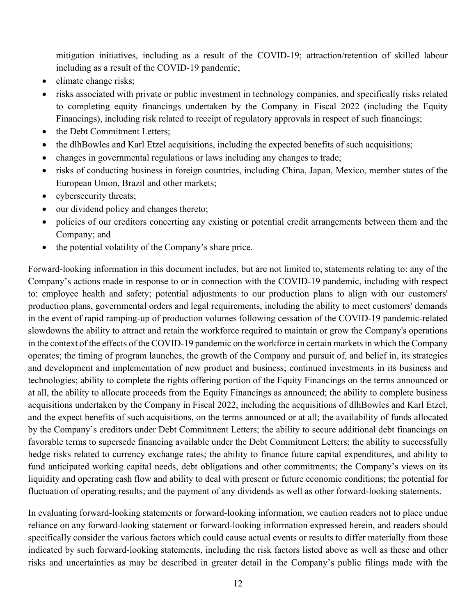mitigation initiatives, including as a result of the COVID-19; attraction/retention of skilled labour including as a result of the COVID-19 pandemic;

- climate change risks;
- risks associated with private or public investment in technology companies, and specifically risks related to completing equity financings undertaken by the Company in Fiscal 2022 (including the Equity Financings), including risk related to receipt of regulatory approvals in respect of such financings;
- the Debt Commitment Letters:
- the dlhBowles and Karl Etzel acquisitions, including the expected benefits of such acquisitions;
- changes in governmental regulations or laws including any changes to trade;
- risks of conducting business in foreign countries, including China, Japan, Mexico, member states of the European Union, Brazil and other markets;
- cybersecurity threats;
- our dividend policy and changes thereto;
- policies of our creditors concerting any existing or potential credit arrangements between them and the Company; and
- the potential volatility of the Company's share price.

Forward-looking information in this document includes, but are not limited to, statements relating to: any of the Company's actions made in response to or in connection with the COVID-19 pandemic, including with respect to: employee health and safety; potential adjustments to our production plans to align with our customers' production plans, governmental orders and legal requirements, including the ability to meet customers' demands in the event of rapid ramping-up of production volumes following cessation of the COVID-19 pandemic-related slowdowns the ability to attract and retain the workforce required to maintain or grow the Company's operations in the context of the effects of the COVID-19 pandemic on the workforce in certain markets in which the Company operates; the timing of program launches, the growth of the Company and pursuit of, and belief in, its strategies and development and implementation of new product and business; continued investments in its business and technologies; ability to complete the rights offering portion of the Equity Financings on the terms announced or at all, the ability to allocate proceeds from the Equity Financings as announced; the ability to complete business acquisitions undertaken by the Company in Fiscal 2022, including the acquisitions of dlhBowles and Karl Etzel, and the expect benefits of such acquisitions, on the terms announced or at all; the availability of funds allocated by the Company's creditors under Debt Commitment Letters; the ability to secure additional debt financings on favorable terms to supersede financing available under the Debt Commitment Letters; the ability to successfully hedge risks related to currency exchange rates; the ability to finance future capital expenditures, and ability to fund anticipated working capital needs, debt obligations and other commitments; the Company's views on its liquidity and operating cash flow and ability to deal with present or future economic conditions; the potential for fluctuation of operating results; and the payment of any dividends as well as other forward-looking statements.

In evaluating forward-looking statements or forward-looking information, we caution readers not to place undue reliance on any forward-looking statement or forward-looking information expressed herein, and readers should specifically consider the various factors which could cause actual events or results to differ materially from those indicated by such forward-looking statements, including the risk factors listed above as well as these and other risks and uncertainties as may be described in greater detail in the Company's public filings made with the